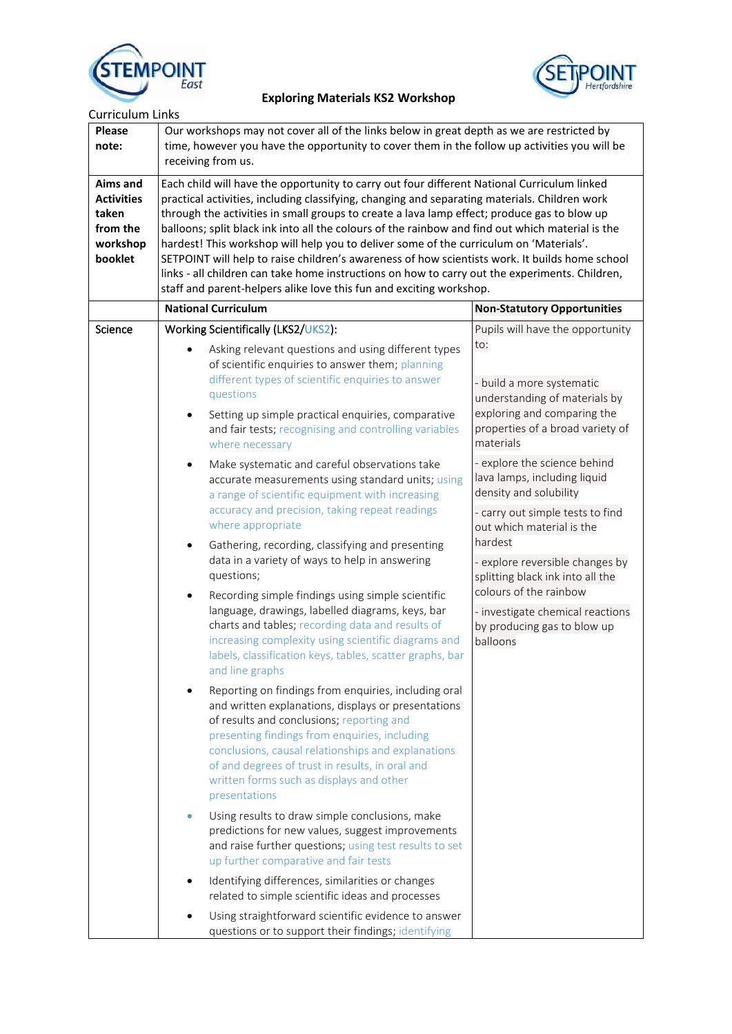



| <b>Please</b><br>note:                                                           | <b>Curriculum Links</b><br>Our workshops may not cover all of the links below in great depth as we are restricted by<br>time, however you have the opportunity to cover them in the follow up activities you will be<br>receiving from us.                                                                                                                                                                                                                                                                                                                                                                                                                                                                                                                           |                                                                                                                                                                                                                                                                                                                                                             |  |  |
|----------------------------------------------------------------------------------|----------------------------------------------------------------------------------------------------------------------------------------------------------------------------------------------------------------------------------------------------------------------------------------------------------------------------------------------------------------------------------------------------------------------------------------------------------------------------------------------------------------------------------------------------------------------------------------------------------------------------------------------------------------------------------------------------------------------------------------------------------------------|-------------------------------------------------------------------------------------------------------------------------------------------------------------------------------------------------------------------------------------------------------------------------------------------------------------------------------------------------------------|--|--|
| <b>Aims and</b><br><b>Activities</b><br>taken<br>from the<br>workshop<br>booklet | Each child will have the opportunity to carry out four different National Curriculum linked<br>practical activities, including classifying, changing and separating materials. Children work<br>through the activities in small groups to create a lava lamp effect; produce gas to blow up<br>balloons; split black ink into all the colours of the rainbow and find out which material is the<br>hardest! This workshop will help you to deliver some of the curriculum on 'Materials'.<br>SETPOINT will help to raise children's awareness of how scientists work. It builds home school<br>links - all children can take home instructions on how to carry out the experiments. Children,<br>staff and parent-helpers alike love this fun and exciting workshop. |                                                                                                                                                                                                                                                                                                                                                             |  |  |
|                                                                                  | <b>National Curriculum</b>                                                                                                                                                                                                                                                                                                                                                                                                                                                                                                                                                                                                                                                                                                                                           | <b>Non-Statutory Opportunities</b>                                                                                                                                                                                                                                                                                                                          |  |  |
| Science                                                                          | Working Scientifically (LKS2/UKS2):<br>Asking relevant questions and using different types<br>of scientific enquiries to answer them; planning<br>different types of scientific enquiries to answer<br>questions<br>Setting up simple practical enquiries, comparative<br>$\bullet$<br>and fair tests; recognising and controlling variables<br>where necessary                                                                                                                                                                                                                                                                                                                                                                                                      | Pupils will have the opportunity<br>to:<br>- build a more systematic<br>understanding of materials by<br>exploring and comparing the<br>properties of a broad variety of<br>materials<br>- explore the science behind<br>lava lamps, including liquid<br>density and solubility<br>- carry out simple tests to find<br>out which material is the<br>hardest |  |  |
|                                                                                  | Make systematic and careful observations take<br>$\bullet$<br>accurate measurements using standard units; using<br>a range of scientific equipment with increasing<br>accuracy and precision, taking repeat readings<br>where appropriate<br>Gathering, recording, classifying and presenting<br>$\bullet$                                                                                                                                                                                                                                                                                                                                                                                                                                                           |                                                                                                                                                                                                                                                                                                                                                             |  |  |
|                                                                                  | data in a variety of ways to help in answering<br>questions;<br>Recording simple findings using simple scientific<br>$\bullet$<br>language, drawings, labelled diagrams, keys, bar<br>charts and tables; recording data and results of<br>increasing complexity using scientific diagrams and<br>labels, classification keys, tables, scatter graphs, bar<br>and line graphs                                                                                                                                                                                                                                                                                                                                                                                         | - explore reversible changes by<br>splitting black ink into all the<br>colours of the rainbow                                                                                                                                                                                                                                                               |  |  |
|                                                                                  |                                                                                                                                                                                                                                                                                                                                                                                                                                                                                                                                                                                                                                                                                                                                                                      | - investigate chemical reactions<br>by producing gas to blow up<br>balloons                                                                                                                                                                                                                                                                                 |  |  |
|                                                                                  | Reporting on findings from enquiries, including oral<br>and written explanations, displays or presentations<br>of results and conclusions; reporting and<br>presenting findings from enquiries, including<br>conclusions, causal relationships and explanations<br>of and degrees of trust in results, in oral and<br>written forms such as displays and other<br>presentations                                                                                                                                                                                                                                                                                                                                                                                      |                                                                                                                                                                                                                                                                                                                                                             |  |  |
|                                                                                  | Using results to draw simple conclusions, make<br>predictions for new values, suggest improvements<br>and raise further questions; using test results to set<br>up further comparative and fair tests                                                                                                                                                                                                                                                                                                                                                                                                                                                                                                                                                                |                                                                                                                                                                                                                                                                                                                                                             |  |  |
|                                                                                  | Identifying differences, similarities or changes<br>related to simple scientific ideas and processes                                                                                                                                                                                                                                                                                                                                                                                                                                                                                                                                                                                                                                                                 |                                                                                                                                                                                                                                                                                                                                                             |  |  |
|                                                                                  | Using straightforward scientific evidence to answer<br>questions or to support their findings; identifying                                                                                                                                                                                                                                                                                                                                                                                                                                                                                                                                                                                                                                                           |                                                                                                                                                                                                                                                                                                                                                             |  |  |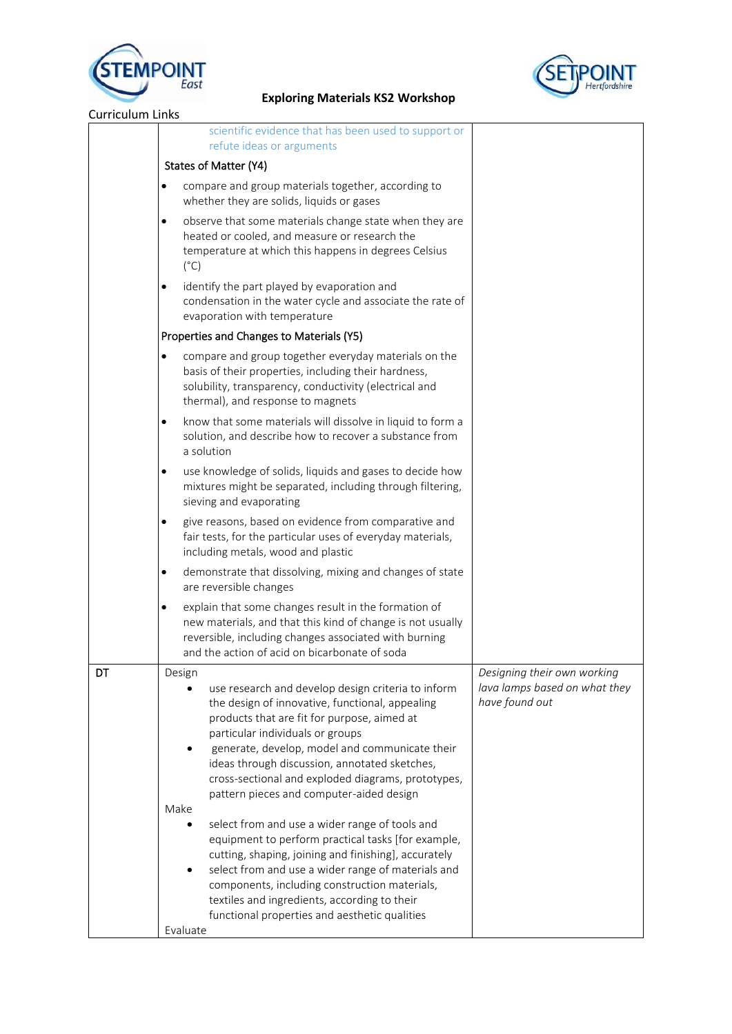



| <b>Curriculum Links</b> |                                                                                                                                                                                                                                                                                                                                                                                                       |                                                 |
|-------------------------|-------------------------------------------------------------------------------------------------------------------------------------------------------------------------------------------------------------------------------------------------------------------------------------------------------------------------------------------------------------------------------------------------------|-------------------------------------------------|
|                         | scientific evidence that has been used to support or<br>refute ideas or arguments                                                                                                                                                                                                                                                                                                                     |                                                 |
|                         | States of Matter (Y4)                                                                                                                                                                                                                                                                                                                                                                                 |                                                 |
|                         | compare and group materials together, according to<br>$\bullet$<br>whether they are solids, liquids or gases                                                                                                                                                                                                                                                                                          |                                                 |
|                         | observe that some materials change state when they are<br>$\bullet$<br>heated or cooled, and measure or research the<br>temperature at which this happens in degrees Celsius<br>$(^{\circ}C)$                                                                                                                                                                                                         |                                                 |
|                         | identify the part played by evaporation and<br>$\bullet$<br>condensation in the water cycle and associate the rate of<br>evaporation with temperature                                                                                                                                                                                                                                                 |                                                 |
|                         | Properties and Changes to Materials (Y5)                                                                                                                                                                                                                                                                                                                                                              |                                                 |
|                         | compare and group together everyday materials on the<br>$\bullet$<br>basis of their properties, including their hardness,<br>solubility, transparency, conductivity (electrical and<br>thermal), and response to magnets                                                                                                                                                                              |                                                 |
|                         | know that some materials will dissolve in liquid to form a<br>$\bullet$<br>solution, and describe how to recover a substance from<br>a solution                                                                                                                                                                                                                                                       |                                                 |
|                         | use knowledge of solids, liquids and gases to decide how<br>$\bullet$<br>mixtures might be separated, including through filtering,<br>sieving and evaporating                                                                                                                                                                                                                                         |                                                 |
|                         | give reasons, based on evidence from comparative and<br>$\bullet$<br>fair tests, for the particular uses of everyday materials,<br>including metals, wood and plastic                                                                                                                                                                                                                                 |                                                 |
|                         | demonstrate that dissolving, mixing and changes of state<br>$\bullet$<br>are reversible changes                                                                                                                                                                                                                                                                                                       |                                                 |
|                         | explain that some changes result in the formation of<br>$\bullet$<br>new materials, and that this kind of change is not usually<br>reversible, including changes associated with burning<br>and the action of acid on bicarbonate of soda                                                                                                                                                             |                                                 |
| DT                      | Design                                                                                                                                                                                                                                                                                                                                                                                                | Designing their own working                     |
|                         | use research and develop design criteria to inform<br>the design of innovative, functional, appealing<br>products that are fit for purpose, aimed at<br>particular individuals or groups<br>generate, develop, model and communicate their<br>ideas through discussion, annotated sketches,<br>cross-sectional and exploded diagrams, prototypes,<br>pattern pieces and computer-aided design<br>Make | lava lamps based on what they<br>have found out |
|                         | select from and use a wider range of tools and<br>equipment to perform practical tasks [for example,<br>cutting, shaping, joining and finishing], accurately<br>select from and use a wider range of materials and<br>components, including construction materials,<br>textiles and ingredients, according to their<br>functional properties and aesthetic qualities<br>Evaluate                      |                                                 |